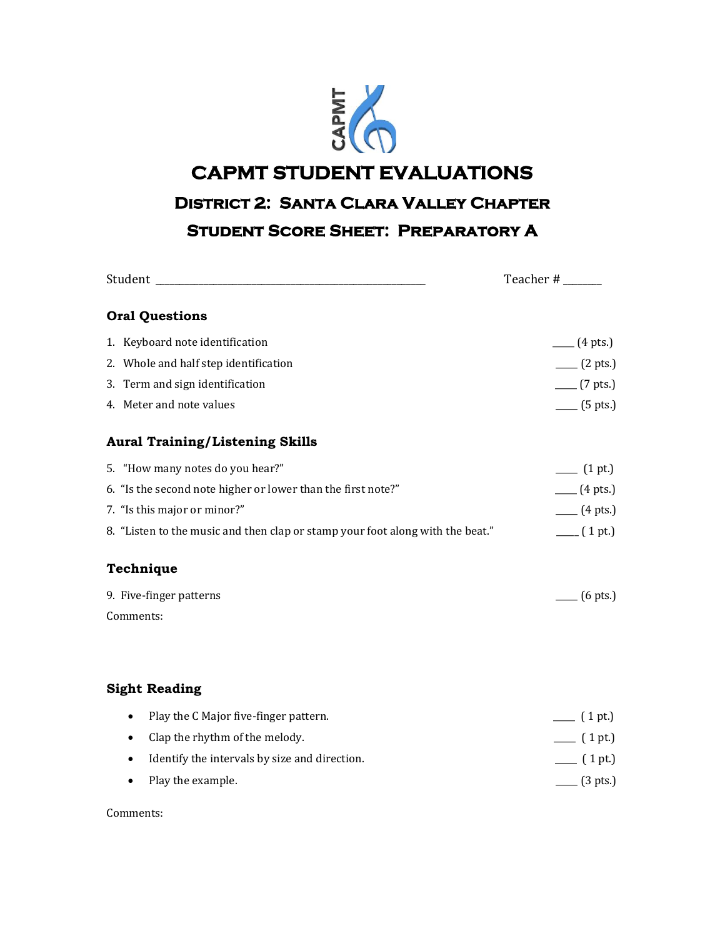

## **CAPMT STUDENT EVALUATIONS District 2: Santa Clara Valley Chapter STUDENT SCORE SHEET: PREPARATORY A**

|                                                                                | Teacher #                                                                                                                                                                                                                                                                                                                                                                                                             |
|--------------------------------------------------------------------------------|-----------------------------------------------------------------------------------------------------------------------------------------------------------------------------------------------------------------------------------------------------------------------------------------------------------------------------------------------------------------------------------------------------------------------|
| <b>Oral Questions</b>                                                          |                                                                                                                                                                                                                                                                                                                                                                                                                       |
| 1. Keyboard note identification                                                | $-$ (4 pts.)                                                                                                                                                                                                                                                                                                                                                                                                          |
| 2. Whole and half step identification                                          | $\frac{1}{2}$ (2 pts.)                                                                                                                                                                                                                                                                                                                                                                                                |
| 3. Term and sign identification                                                | $\frac{1}{2}$ (7 pts.)                                                                                                                                                                                                                                                                                                                                                                                                |
| 4. Meter and note values                                                       | $\frac{1}{\sqrt{5}}$ (5 pts.)                                                                                                                                                                                                                                                                                                                                                                                         |
| <b>Aural Training/Listening Skills</b>                                         |                                                                                                                                                                                                                                                                                                                                                                                                                       |
| 5. "How many notes do you hear?"                                               | $\frac{1}{\sqrt{1 - x^2}}$ (1 pt.)                                                                                                                                                                                                                                                                                                                                                                                    |
| 6. "Is the second note higher or lower than the first note?"                   | $-$ (4 pts.)                                                                                                                                                                                                                                                                                                                                                                                                          |
| 7. "Is this major or minor?"                                                   | $-$ (4 pts.)                                                                                                                                                                                                                                                                                                                                                                                                          |
| 8. "Listen to the music and then clap or stamp your foot along with the beat." | $-$ (1 pt.)                                                                                                                                                                                                                                                                                                                                                                                                           |
| Technique                                                                      |                                                                                                                                                                                                                                                                                                                                                                                                                       |
| 9. Five-finger patterns                                                        | $(6 \text{ pts.})$                                                                                                                                                                                                                                                                                                                                                                                                    |
| Comments:                                                                      |                                                                                                                                                                                                                                                                                                                                                                                                                       |
|                                                                                |                                                                                                                                                                                                                                                                                                                                                                                                                       |
| <b>Sight Reading</b>                                                           |                                                                                                                                                                                                                                                                                                                                                                                                                       |
| Play the C Major five-finger pattern.                                          | $- (1 pt.)$                                                                                                                                                                                                                                                                                                                                                                                                           |
| Clap the rhythm of the melody.<br>$\bullet$                                    | $\frac{1}{\sqrt{1 - x^2}}$ (1 pt.)                                                                                                                                                                                                                                                                                                                                                                                    |
| Identify the intervals by size and direction.                                  | $\frac{1}{\sqrt{1-\frac{1}{1-\frac{1}{1-\frac{1}{1-\frac{1}{1-\frac{1}{1-\frac{1}{1-\frac{1}{1-\frac{1}{1-\frac{1}{1-\frac{1}{1-\frac{1}{1-\frac{1}{1-\frac{1}{1-\frac{1}{1-\frac{1}{1-\frac{1}{1-\frac{1}{1-\frac{1}{1-\frac{1}{1-\frac{1}{1-\frac{1}{1-\frac{1}{1-\frac{1}{1-\frac{1}{1-\frac{1}{1-\frac{1}{1-\frac{1}{1-\frac{1}{1-\frac{1}{1-\frac{1}{1-\frac{1}{1-\frac{1}{1-\frac{1}{1-\frac{1}{1-\frac{1}{1-\$ |
| Play the example.                                                              | $\frac{1}{2}$ (3 pts.)                                                                                                                                                                                                                                                                                                                                                                                                |

Comments: